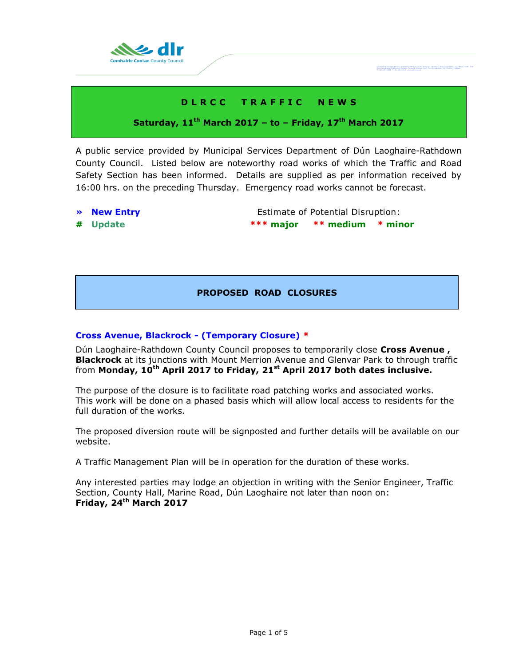

# **D L R C C T R A F F I C N E W S**

# **Saturday, 11th March 2017 – to – Friday, 17 th March 2017**

A public service provided by Municipal Services Department of Dún Laoghaire-Rathdown County Council. Listed below are noteworthy road works of which the Traffic and Road Safety Section has been informed. Details are supplied as per information received by 16:00 hrs. on the preceding Thursday. Emergency road works cannot be forecast.

- 
- 

**• New Entry Extimate of Potential Disruption: # Update \*\*\* major \*\* medium \* minor**

Comhairle Cornae Dhùn Leoghaire-Ráth ar<br>Dún Leoghaire-Rathdown County Coungil,

# **PROPOSED ROAD CLOSURES**

# **Cross Avenue, Blackrock - (Temporary Closure) \***

Dún Laoghaire-Rathdown County Council proposes to temporarily close **Cross Avenue , Blackrock** at its junctions with Mount Merrion Avenue and Glenvar Park to through traffic from **Monday, 10th April 2017 to Friday, 21st April 2017 both dates inclusive.**

The purpose of the closure is to facilitate road patching works and associated works. This work will be done on a phased basis which will allow local access to residents for the full duration of the works.

The proposed diversion route will be signposted and further details will be available on our website.

A Traffic Management Plan will be in operation for the duration of these works.

Any interested parties may lodge an objection in writing with the Senior Engineer, Traffic Section, County Hall, Marine Road, Dún Laoghaire not later than noon on: **Friday, 24th March 2017**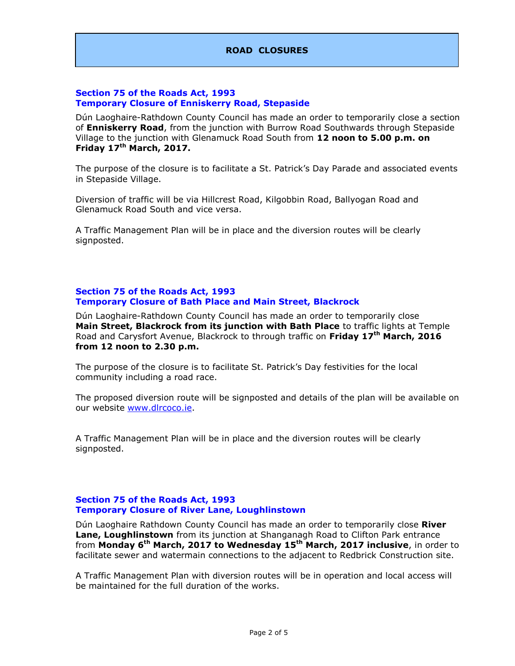# **ROAD CLOSURES**

### **Section 75 of the Roads Act, 1993 Temporary Closure of Enniskerry Road, Stepaside**

Dún Laoghaire-Rathdown County Council has made an order to temporarily close a section of **Enniskerry Road**, from the junction with Burrow Road Southwards through Stepaside Village to the junction with Glenamuck Road South from **12 noon to 5.00 p.m. on Friday 17th March, 2017.**

The purpose of the closure is to facilitate a St. Patrick's Day Parade and associated events in Stepaside Village.

Diversion of traffic will be via Hillcrest Road, Kilgobbin Road, Ballyogan Road and Glenamuck Road South and vice versa.

A Traffic Management Plan will be in place and the diversion routes will be clearly signposted.

### **Section 75 of the Roads Act, 1993 Temporary Closure of Bath Place and Main Street, Blackrock**

Dún Laoghaire-Rathdown County Council has made an order to temporarily close **Main Street, Blackrock from its junction with Bath Place** to traffic lights at Temple Road and Carysfort Avenue, Blackrock to through traffic on **Friday 17th March, 2016 from 12 noon to 2.30 p.m.**

The purpose of the closure is to facilitate St. Patrick's Day festivities for the local community including a road race.

The proposed diversion route will be signposted and details of the plan will be available on our website [www.dlrcoco.ie.](http://www.dlrcoco.ie/)

A Traffic Management Plan will be in place and the diversion routes will be clearly signposted.

### **Section 75 of the Roads Act, 1993 Temporary Closure of River Lane, Loughlinstown**

Dún Laoghaire Rathdown County Council has made an order to temporarily close **River Lane, Loughlinstown** from its junction at Shanganagh Road to Clifton Park entrance from **Monday 6th March, 2017 to Wednesday 15th March, 2017 inclusive**, in order to facilitate sewer and watermain connections to the adjacent to Redbrick Construction site.

A Traffic Management Plan with diversion routes will be in operation and local access will be maintained for the full duration of the works.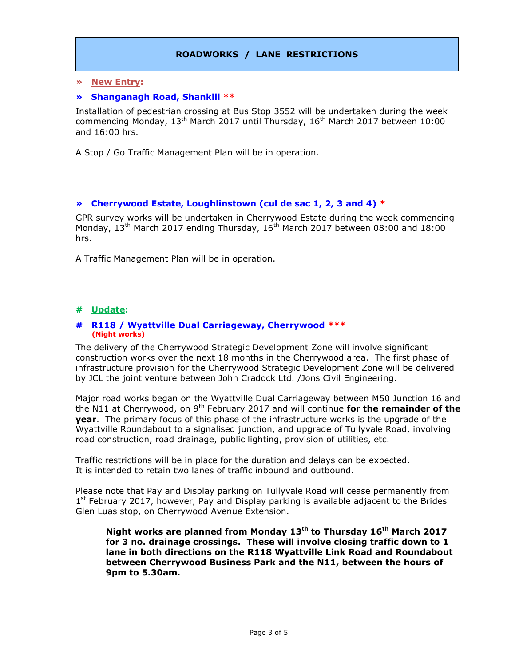# **ROADWORKS / LANE RESTRICTIONS**

### **» New Entry:**

#### **» Shanganagh Road, Shankill \*\***

Installation of pedestrian crossing at Bus Stop 3552 will be undertaken during the week commencing Monday,  $13^{\text{th}}$  March 2017 until Thursday,  $16^{\text{th}}$  March 2017 between 10:00 and 16:00 hrs.

A Stop / Go Traffic Management Plan will be in operation.

### **» Cherrywood Estate, Loughlinstown (cul de sac 1, 2, 3 and 4) \***

GPR survey works will be undertaken in Cherrywood Estate during the week commencing Monday,  $13<sup>th</sup>$  March 2017 ending Thursday,  $16<sup>th</sup>$  March 2017 between 08:00 and 18:00 hrs.

A Traffic Management Plan will be in operation.

# **# Update:**

#### **# R118 / Wyattville Dual Carriageway, Cherrywood \*\*\* (Night works)**

The delivery of the Cherrywood Strategic Development Zone will involve significant construction works over the next 18 months in the Cherrywood area. The first phase of infrastructure provision for the Cherrywood Strategic Development Zone will be delivered by JCL the joint venture between John Cradock Ltd. /Jons Civil Engineering.

Major road works began on the Wyattville Dual Carriageway between M50 Junction 16 and the N11 at Cherrywood, on 9<sup>th</sup> February 2017 and will continue **for the remainder of the year**. The primary focus of this phase of the infrastructure works is the upgrade of the Wyattville Roundabout to a signalised junction, and upgrade of Tullyvale Road, involving road construction, road drainage, public lighting, provision of utilities, etc.

Traffic restrictions will be in place for the duration and delays can be expected. It is intended to retain two lanes of traffic inbound and outbound.

Please note that Pay and Display parking on Tullyvale Road will cease permanently from 1<sup>st</sup> February 2017, however, Pay and Display parking is available adjacent to the Brides Glen Luas stop, on Cherrywood Avenue Extension.

**Night works are planned from Monday 13th to Thursday 16 th March 2017 for 3 no. drainage crossings. These will involve closing traffic down to 1 lane in both directions on the R118 Wyattville Link Road and Roundabout between Cherrywood Business Park and the N11, between the hours of 9pm to 5.30am.**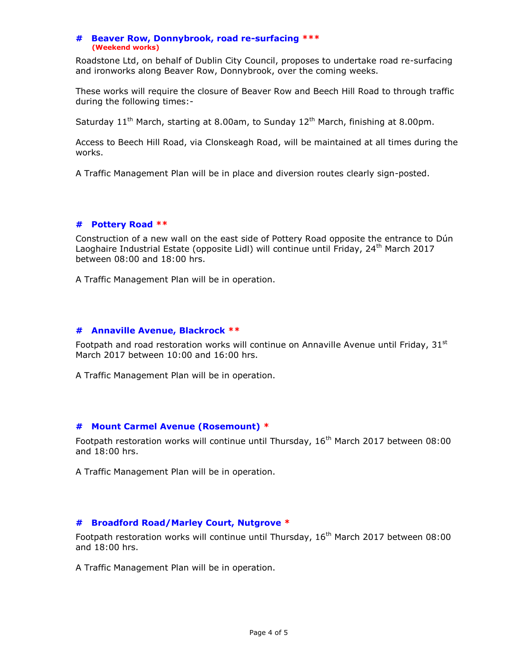#### **# Beaver Row, Donnybrook, road re-surfacing \*\*\* (Weekend works)**

Roadstone Ltd, on behalf of Dublin City Council, proposes to undertake road re-surfacing and ironworks along Beaver Row, Donnybrook, over the coming weeks.

These works will require the closure of Beaver Row and Beech Hill Road to through traffic during the following times:-

Saturday  $11<sup>th</sup>$  March, starting at 8.00am, to Sunday  $12<sup>th</sup>$  March, finishing at 8.00pm.

Access to Beech Hill Road, via Clonskeagh Road, will be maintained at all times during the works.

A Traffic Management Plan will be in place and diversion routes clearly sign-posted.

# **# Pottery Road \*\***

Construction of a new wall on the east side of Pottery Road opposite the entrance to Dún Laoghaire Industrial Estate (opposite Lidl) will continue until Friday, 24<sup>th</sup> March 2017 between 08:00 and 18:00 hrs.

A Traffic Management Plan will be in operation.

# **# Annaville Avenue, Blackrock \*\***

Footpath and road restoration works will continue on Annaville Avenue until Friday,  $31<sup>st</sup>$ March 2017 between 10:00 and 16:00 hrs.

A Traffic Management Plan will be in operation.

# **# Mount Carmel Avenue (Rosemount) \***

Footpath restoration works will continue until Thursday,  $16<sup>th</sup>$  March 2017 between 08:00 and 18:00 hrs.

A Traffic Management Plan will be in operation.

# **# Broadford Road/Marley Court, Nutgrove \***

Footpath restoration works will continue until Thursday, 16<sup>th</sup> March 2017 between 08:00 and 18:00 hrs.

A Traffic Management Plan will be in operation.